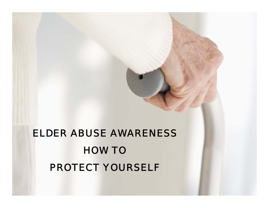#### ELDER ABUSE AWARENESS HOW TO PROTECT YOURSELF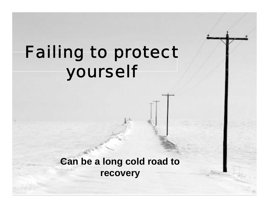# Failing to protect yourself

**Can be a long cold road to recovery**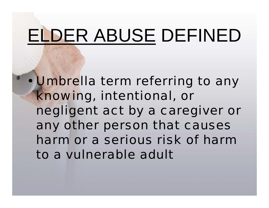# ELDER ABUSE DEFINED

• Umbrella term referring to any knowing, intentional, or negligent act by a caregiver or any other person that causes harm or a serious risk of harm to a vulnerable adult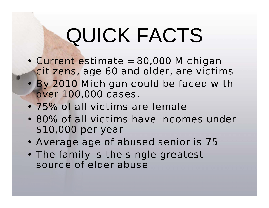# QUICK FACTS

- Current estimate = 80,000 Michigan citizens, age 60 and older, are victims
- By 2010 Michigan could be faced with over 100,000 cases.
- 75% of all victims are female
- 80% of all victims have incomes under \$10,000 per year
- Average age of abused senior is 75
- The family is the single greatest source of elder abuse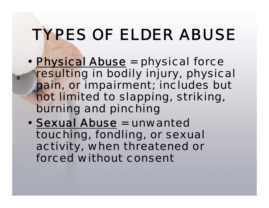# TYPES OF ELDER ABUSE

- Physical Abuse = physical force resulting in bodily injury, physical pain, or impairment; includes but not limited to slapping, striking, burning and pinching
- Sexual Abuse = unwanted touching, fondling, or sexual activity, when threatened or forced without consent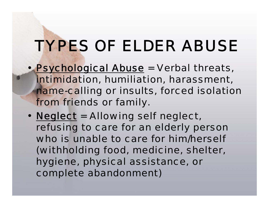# TYPES OF ELDER ABUSE

- Psychological Abuse = Verbal threats, intimidation, humiliation, harassment, name-calling or insults, forced isolation from friends or family.
- Neglect = Allowing self neglect, refusing to care for an elderly person who is unable to care for him/herself (withholding food, medicine, shelter, hygiene, physical assistance, or complete abandonment)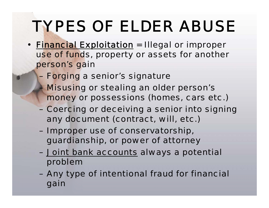## TYPES OF ELDER ABUSE

- Financial Exploitation = Illegal or improper use of funds, property or assets for another person's gain
	- Forging a senior's signature
	- **Misusing or stealing an older person's** money or possessions (homes, cars etc.)
	- Coercing or deceiving a senior into signing any document (contract, will, etc.)
	- Improper use of conservatorship, guardianship, or power of attorney
	- Joint bank accounts always a potential problem
	- Any type of intentional fraud for financial gain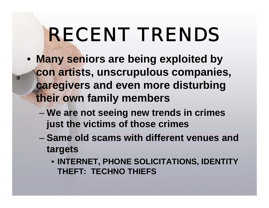# RECENT TRENDS

- **Many seniors are being exploited by con artists, unscrupulous companies, caregivers and even more disturbing their own family members**
	- **We are not seeing new trends in crimes just the victims of those crimes**
	- **Same old scams with different venues and targets**
		- **INTERNET, PHONE SOLICITATIONS, IDENTITY THEFT: TECHNO THIEFS**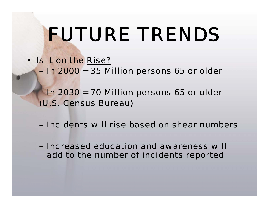# FUTURE TRENDS

- Is it on the Rise?
	- In 2000 = 35 Million persons 65 or older
	- In 2030 = 70 Million persons 65 or older (U.S. Census Bureau)
	- Incidents will rise based on shear numbers
	- Increased education and awareness will add to the number of incidents reported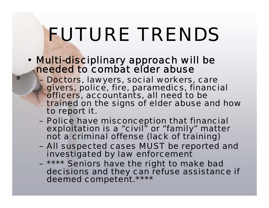# FUTURE TRENDS

- Multi-disciplinary approach will be needed to combat elder abuse
	- Doctors, lawyers, social workers, care givers, police, fire, paramedics, financial officers, accountants, all need to be trained on the signs of elder abuse and how to report it.
	- Police have misconception that financial<br>exploitation is a "civil" or "family" matter not a criminal offense (lack of training)
	- All suspected cases MUST be reported and investigated by law enforcement
	- \*\*\*\* Seniors have the right to make bad decisions and they can refuse assistance if deemed competent.\*\*\*\*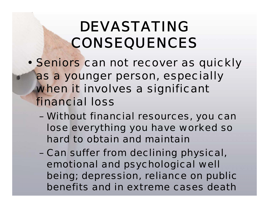## DEVASTATING CONSEQUENCES

- Seniors can not recover as quickly as a younger person, especially when it involves a significant financial loss
	- Without financial resources, you can lose everything you have worked so hard to obtain and maintain
	- Can suffer from declining physical, emotional and psychological well being; depression, reliance on public benefits and in extreme cases death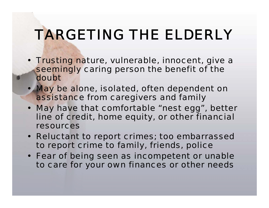## TARGETING THE ELDERLY

- Trusting nature, vulnerable, innocent, give a seemingly caring person the benefit of the doubt
- May be alone, isolated, often dependent on assistance from caregivers and family
- May have that comfortable "nest egg", better line of credit, home equity, or other financial resources
- Reluctant to report crimes; too embarrassed to report crime to family, friends, police
- Fear of being seen as incompetent or unable to care for your own finances or other needs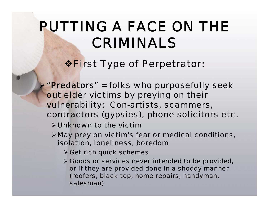#### *\** **First Type of Perpetrator:**

¾"*Predators*" = folks who purposefully seek out elder victims by preying on their vulnerability: Con-artists, scammers, contractors (gypsies), phone solicitors etc.

- ¾Unknown to the victim
- ¾May prey on victim's fear or medical conditions, isolation, loneliness, boredom
	- $\triangleright$  Get rich quick schemes
	- ¾ Goods or services never intended to be provided, or if they are provided done in a shoddy manner (roofers, black top, home repairs, handyman, salesman)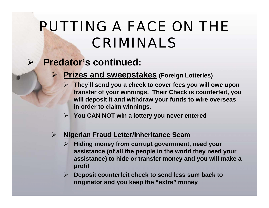#### $\blacktriangleright$ **Predator's continued:**

 $\blacktriangleright$ 

#### ¾ **Prizes and sweepstakes (Foreign Lotteries)**

- ¾ **They'll send you a check to cover fees you will owe upon transfer of your winnings. Their Check is counterfeit, you will deposit it and withdraw your funds to wire overseas in order to claim winnings.**
- $\blacktriangleright$ **You CAN NOT win a lottery you never entered**

#### **Nigerian Fraud Letter/Inheritance Scam**

- $\blacktriangleright$  **Hiding money from corrupt government, need your assistance (of all the people in the world they need your assistance) to hide or transfer money and you will make a profit**
- $\triangleright$  **Deposit counterfeit check to send less sum back to originator and you keep the "extra" money**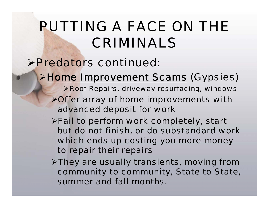#### ¾Predators continued:

#### ¾Home Improvement Scams (Gypsies)

- ¾Roof Repairs, driveway resurfacing, windows
- ¾Offer array of home improvements with advanced deposit for work
- ¾Fail to perform work completely, start but do not finish, or do substandard work which ends up costing you more money to repair their repairs
- ¾They are usually transients, moving from community to community, State to State, summer and fall months.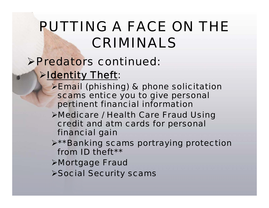#### ¾Predators continued:

#### **Example 11 Fig. 5 Fig. 7 Fig. 7 Fig. 7 Fig. 7 Fig. 7 Fig. 7 Fig. 7 Fig. 7 Fig. 7 Fig. 7 Fig. 7 Fig. 7 Fig. 7 Fig. 7 Fig. 7 Fig. 7 Fig. 7 Fig. 7 Fig. 7 Fig. 7 Fig. 7 Fig. 7 Fig. 7 Fig. 7 Fig. 7 Fig. 7 Fig. 7 Fig. 7 Fig. 7**

- ¾Email (phishing) & phone solicitation scams entice you to give personal pertinent financial information
- ¾Medicare / Health Care Fraud Using credit and atm cards for personal financial gain
- ¾\*\*Banking scams portraying protection from ID theft\*\*
- ¾Mortgage Fraud
- ¾Social Security scams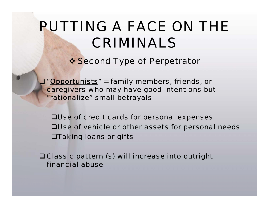#### **❖ Second Type of Perpetrator**

 "*Opportunists*" = family members, friends, or caregivers who may have good intentions but "rationalize" small betrayals

Use of credit cards for personal expenses Use of vehicle or other assets for personal needs Taking loans or gifts

 Classic pattern (s) will increase into outright financial abuse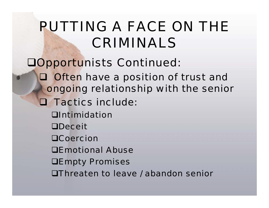- Opportunists Continued:
	- **Q Often have a position of trust and** ongoing relationship with the senior
	- **Q Tactics include:** 
		- **O**Intimidation
		- **ODeceit**
		- **OCoercion**
		- Emotional Abuse
		- **DEmpty Promises**
		- Threaten to leave / abandon senior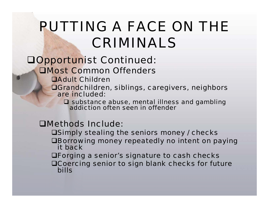#### Opportunist Continued:

#### Most Common Offenders

- **QAdult Children**
- Grandchildren, siblings, caregivers, neighbors are included:

 $\square$  substance abuse, mental illness and gambling addiction often seen in offender

#### Methods Include:

- **OSimply stealing the seniors money / checks**
- Borrowing money repeatedly no intent on paying it back
- Forging a senior's signature to cash checks
- Coercing senior to sign blank checks for future bills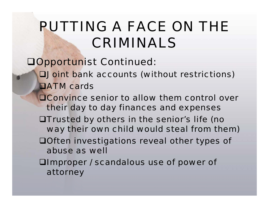#### Opportunist Continued:

- Joint bank accounts (without restrictions) **DATM** cards
- **OConvince senior to allow them control over** their day to day finances and expenses
- Trusted by others in the senior's life (no way their own child would steal from them)
- Often investigations reveal other types of abuse as well
- **QImproper / scandalous use of power of** attorney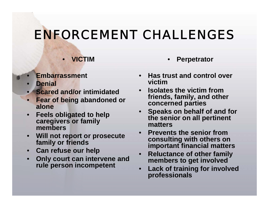#### ENFORCEMENT CHALLENGES

- **VICTIM**
- **Embarrassment**
- **Denial**
- **Scared and/or intimidated**
- **Fear of being abandoned or alone**
- **Feels obligated to help caregivers or family members**
- **Will not report or prosecute family or friends**
- **Can refuse our help**
- **Only court can intervene and rule person incompetent**
- **Perpetrator**
- **Has trust and control over victim**
- **Isolates the victim from friends, family, and other concerned parties**
- **Speaks on behalf of and for the senior on all pertinent matters**
- **Prevents the senior from consulting with others on important financial matters**
- **Reluctance of other family members to get involved**
- **Lack of training for involved professionals**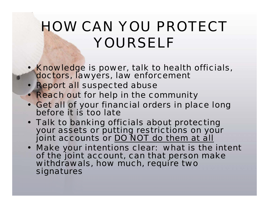- Knowledge is power, talk to health officials, doctors, lawyers, law enforcement
- Report all suspected abuse
- Reach out for help in the community
- Get all of your financial orders in place long before it is too late
- Talk to banking officials about protecting your assets or putting restrictions on your joint accounts or DO NOT do them at all
- Make your intentions clear: what is the intent of the joint account, can that person make withdrawals, how much, require two signatures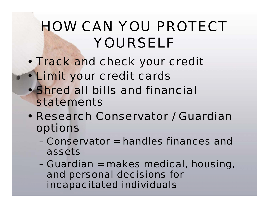- Track and check your credit
- Limit your credit cards
	- Shred all bills and financial statements
	- Research Conservator / Guardian options
		- Conservator = handles finances and assets
		- Guardian = makes medical, housing, and personal decisions for incapacitated individuals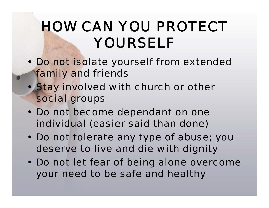- Do not isolate yourself from extended family and friends
- Stay involved with church or other social groups
- Do not become dependant on one individual (easier said than done)
- Do not tolerate any type of abuse; you deserve to live and die with dignity
- Do not let fear of being alone overcome your need to be safe and healthy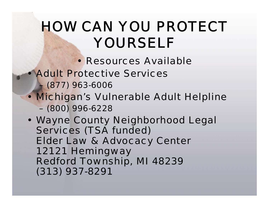- Resources Available
- Adult Protective Services
	- (877) 963-6006
- Michigan's Vulnerable Adult Helpline – (800) 996-6228

• Wayne County Neighborhood Legal Services (TSA funded) Elder Law & Advocacy Center 12121 Hemingway Redford Township, MI 48239 (313) 937-8291